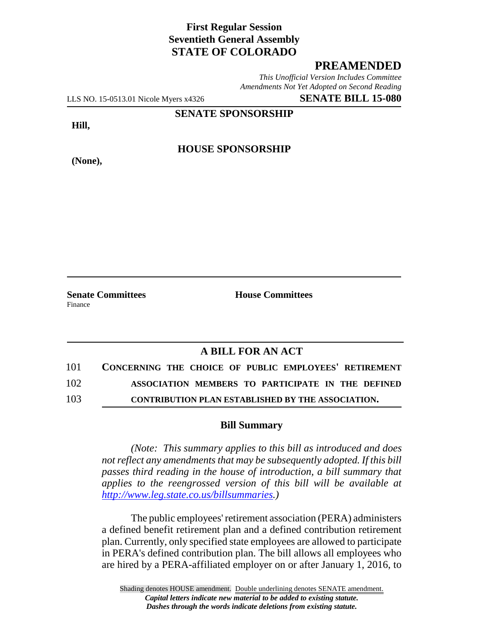### **First Regular Session Seventieth General Assembly STATE OF COLORADO**

#### **PREAMENDED**

*This Unofficial Version Includes Committee Amendments Not Yet Adopted on Second Reading*

LLS NO. 15-0513.01 Nicole Myers x4326 **SENATE BILL 15-080**

**SENATE SPONSORSHIP**

**Hill,**

**HOUSE SPONSORSHIP**

**(None),**

**Senate Committees House Committees** Finance

## **A BILL FOR AN ACT**

| 101 | CONCERNING THE CHOICE OF PUBLIC EMPLOYEES' RETIREMENT |
|-----|-------------------------------------------------------|
| 102 | ASSOCIATION MEMBERS TO PARTICIPATE IN THE DEFINED     |
| 103 | CONTRIBUTION PLAN ESTABLISHED BY THE ASSOCIATION.     |

# **Bill Summary**

*(Note: This summary applies to this bill as introduced and does not reflect any amendments that may be subsequently adopted. If this bill passes third reading in the house of introduction, a bill summary that applies to the reengrossed version of this bill will be available at http://www.leg.state.co.us/billsummaries.)*

The public employees' retirement association (PERA) administers a defined benefit retirement plan and a defined contribution retirement plan. Currently, only specified state employees are allowed to participate in PERA's defined contribution plan. The bill allows all employees who are hired by a PERA-affiliated employer on or after January 1, 2016, to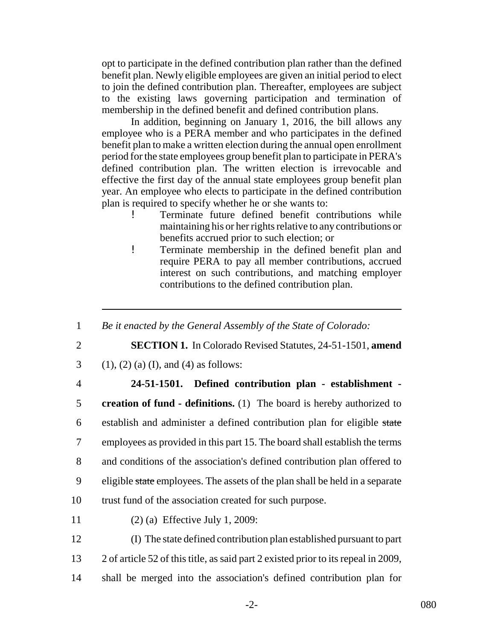opt to participate in the defined contribution plan rather than the defined benefit plan. Newly eligible employees are given an initial period to elect to join the defined contribution plan. Thereafter, employees are subject to the existing laws governing participation and termination of membership in the defined benefit and defined contribution plans.

In addition, beginning on January 1, 2016, the bill allows any employee who is a PERA member and who participates in the defined benefit plan to make a written election during the annual open enrollment period for the state employees group benefit plan to participate in PERA's defined contribution plan. The written election is irrevocable and effective the first day of the annual state employees group benefit plan year. An employee who elects to participate in the defined contribution plan is required to specify whether he or she wants to:

- ! Terminate future defined benefit contributions while maintaining his or her rights relative to any contributions or benefits accrued prior to such election; or
- ! Terminate membership in the defined benefit plan and require PERA to pay all member contributions, accrued interest on such contributions, and matching employer contributions to the defined contribution plan.
- 1 *Be it enacted by the General Assembly of the State of Colorado:*
- 

2 **SECTION 1.** In Colorado Revised Statutes, 24-51-1501, **amend**

- 3 (1), (2) (a) (I), and (4) as follows:
- 

## 4 **24-51-1501. Defined contribution plan - establishment -**

 **creation of fund - definitions.** (1) The board is hereby authorized to establish and administer a defined contribution plan for eligible state employees as provided in this part 15. The board shall establish the terms and conditions of the association's defined contribution plan offered to 9 eligible state employees. The assets of the plan shall be held in a separate trust fund of the association created for such purpose.

11 (2) (a) Effective July 1, 2009:

12 (I) The state defined contribution plan established pursuant to part 13 2 of article 52 of this title, as said part 2 existed prior to its repeal in 2009, 14 shall be merged into the association's defined contribution plan for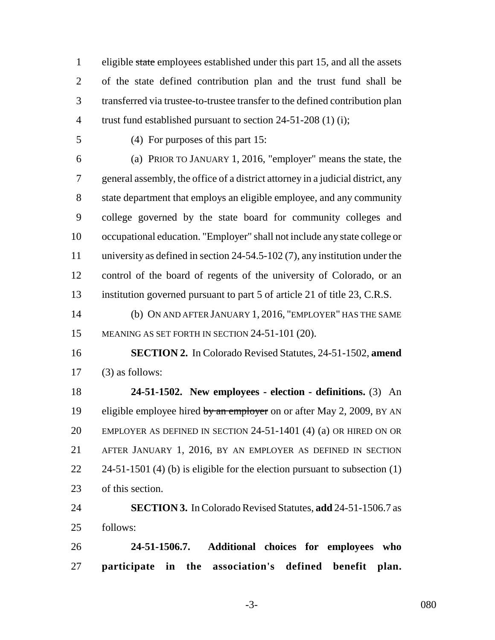eligible state employees established under this part 15, and all the assets of the state defined contribution plan and the trust fund shall be transferred via trustee-to-trustee transfer to the defined contribution plan trust fund established pursuant to section 24-51-208 (1) (i);

(4) For purposes of this part 15:

 (a) PRIOR TO JANUARY 1, 2016, "employer" means the state, the general assembly, the office of a district attorney in a judicial district, any state department that employs an eligible employee, and any community college governed by the state board for community colleges and occupational education. "Employer" shall not include any state college or university as defined in section 24-54.5-102 (7), any institution under the control of the board of regents of the university of Colorado, or an institution governed pursuant to part 5 of article 21 of title 23, C.R.S.

 (b) ON AND AFTER JANUARY 1, 2016, "EMPLOYER" HAS THE SAME 15 MEANING AS SET FORTH IN SECTION 24-51-101 (20).

 **SECTION 2.** In Colorado Revised Statutes, 24-51-1502, **amend** (3) as follows:

 **24-51-1502. New employees - election - definitions.** (3) An 19 eligible employee hired by an employer on or after May 2, 2009, BY AN EMPLOYER AS DEFINED IN SECTION 24-51-1401 (4) (a) OR HIRED ON OR AFTER JANUARY 1, 2016, BY AN EMPLOYER AS DEFINED IN SECTION 22 24-51-1501 (4) (b) is eligible for the election pursuant to subsection (1) of this section.

 **SECTION 3.** In Colorado Revised Statutes, **add** 24-51-1506.7 as follows:

 **24-51-1506.7. Additional choices for employees who participate in the association's defined benefit plan.**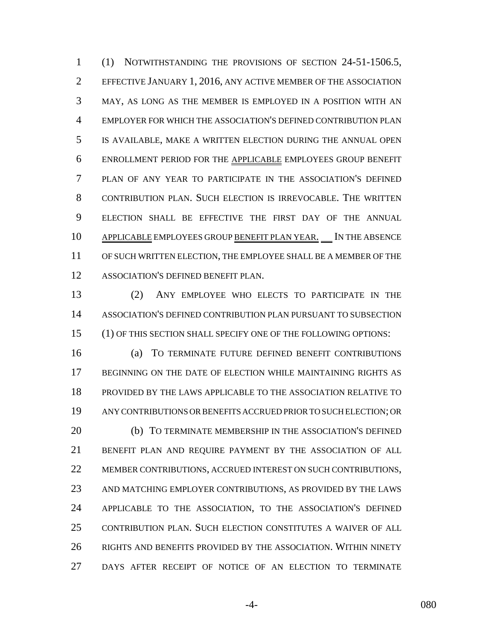(1) NOTWITHSTANDING THE PROVISIONS OF SECTION 24-51-1506.5, EFFECTIVE JANUARY 1, 2016, ANY ACTIVE MEMBER OF THE ASSOCIATION MAY, AS LONG AS THE MEMBER IS EMPLOYED IN A POSITION WITH AN EMPLOYER FOR WHICH THE ASSOCIATION'S DEFINED CONTRIBUTION PLAN IS AVAILABLE, MAKE A WRITTEN ELECTION DURING THE ANNUAL OPEN ENROLLMENT PERIOD FOR THE APPLICABLE EMPLOYEES GROUP BENEFIT PLAN OF ANY YEAR TO PARTICIPATE IN THE ASSOCIATION'S DEFINED CONTRIBUTION PLAN. SUCH ELECTION IS IRREVOCABLE. THE WRITTEN ELECTION SHALL BE EFFECTIVE THE FIRST DAY OF THE ANNUAL 10 APPLICABLE EMPLOYEES GROUP BENEFIT PLAN YEAR. IN THE ABSENCE OF SUCH WRITTEN ELECTION, THE EMPLOYEE SHALL BE A MEMBER OF THE ASSOCIATION'S DEFINED BENEFIT PLAN.

 (2) ANY EMPLOYEE WHO ELECTS TO PARTICIPATE IN THE ASSOCIATION'S DEFINED CONTRIBUTION PLAN PURSUANT TO SUBSECTION (1) OF THIS SECTION SHALL SPECIFY ONE OF THE FOLLOWING OPTIONS:

 (a) TO TERMINATE FUTURE DEFINED BENEFIT CONTRIBUTIONS BEGINNING ON THE DATE OF ELECTION WHILE MAINTAINING RIGHTS AS PROVIDED BY THE LAWS APPLICABLE TO THE ASSOCIATION RELATIVE TO ANY CONTRIBUTIONS OR BENEFITS ACCRUED PRIOR TO SUCH ELECTION; OR (b) TO TERMINATE MEMBERSHIP IN THE ASSOCIATION'S DEFINED BENEFIT PLAN AND REQUIRE PAYMENT BY THE ASSOCIATION OF ALL MEMBER CONTRIBUTIONS, ACCRUED INTEREST ON SUCH CONTRIBUTIONS, AND MATCHING EMPLOYER CONTRIBUTIONS, AS PROVIDED BY THE LAWS APPLICABLE TO THE ASSOCIATION, TO THE ASSOCIATION'S DEFINED CONTRIBUTION PLAN. SUCH ELECTION CONSTITUTES A WAIVER OF ALL RIGHTS AND BENEFITS PROVIDED BY THE ASSOCIATION. WITHIN NINETY DAYS AFTER RECEIPT OF NOTICE OF AN ELECTION TO TERMINATE